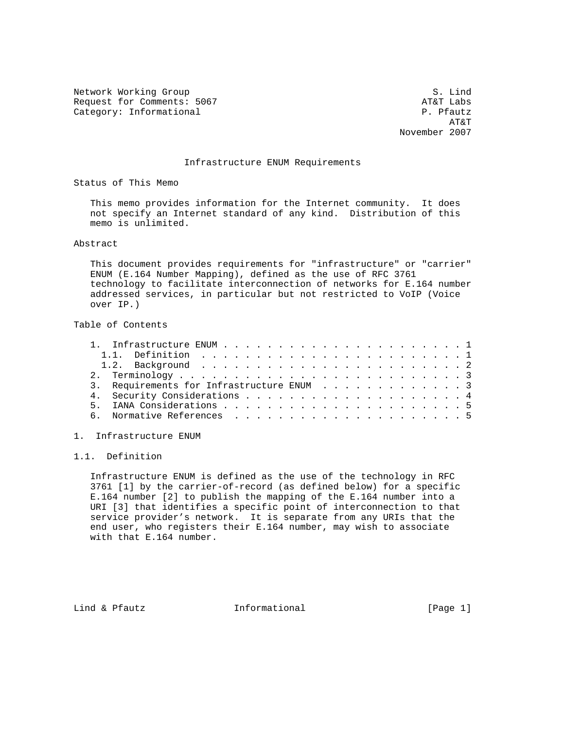Network Working Group S. Lind Request for Comments: 5067 and the comments: 5067 and the comments: 5067 and the comments of the comments of the comments of the comments of the comments of the comments of the comments of the comments of the comments of t Category: Informational

 AT&T November 2007

#### Infrastructure ENUM Requirements

Status of This Memo

 This memo provides information for the Internet community. It does not specify an Internet standard of any kind. Distribution of this memo is unlimited.

#### Abstract

 This document provides requirements for "infrastructure" or "carrier" ENUM (E.164 Number Mapping), defined as the use of RFC 3761 technology to facilitate interconnection of networks for E.164 number addressed services, in particular but not restricted to VoIP (Voice over IP.)

# Table of Contents

| 3. Requirements for Infrastructure ENUM 3 |
|-------------------------------------------|
|                                           |
|                                           |
|                                           |
|                                           |

1. Infrastructure ENUM

# 1.1. Definition

 Infrastructure ENUM is defined as the use of the technology in RFC 3761 [1] by the carrier-of-record (as defined below) for a specific E.164 number [2] to publish the mapping of the E.164 number into a URI [3] that identifies a specific point of interconnection to that service provider's network. It is separate from any URIs that the end user, who registers their E.164 number, may wish to associate with that E.164 number.

Lind & Pfautz **Informational** [Page 1]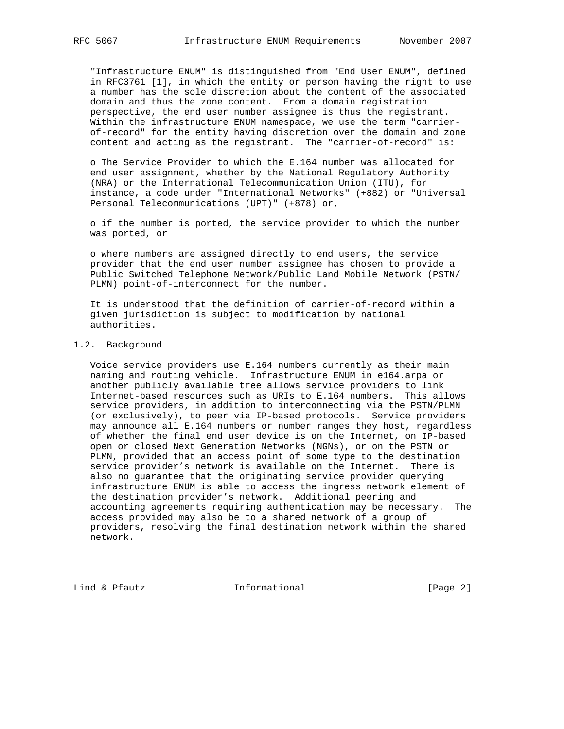"Infrastructure ENUM" is distinguished from "End User ENUM", defined in RFC3761 [1], in which the entity or person having the right to use a number has the sole discretion about the content of the associated domain and thus the zone content. From a domain registration perspective, the end user number assignee is thus the registrant. Within the infrastructure ENUM namespace, we use the term "carrier of-record" for the entity having discretion over the domain and zone content and acting as the registrant. The "carrier-of-record" is:

 o The Service Provider to which the E.164 number was allocated for end user assignment, whether by the National Regulatory Authority (NRA) or the International Telecommunication Union (ITU), for instance, a code under "International Networks" (+882) or "Universal Personal Telecommunications (UPT)" (+878) or,

 o if the number is ported, the service provider to which the number was ported, or

 o where numbers are assigned directly to end users, the service provider that the end user number assignee has chosen to provide a Public Switched Telephone Network/Public Land Mobile Network (PSTN/ PLMN) point-of-interconnect for the number.

 It is understood that the definition of carrier-of-record within a given jurisdiction is subject to modification by national authorities.

### 1.2. Background

 Voice service providers use E.164 numbers currently as their main naming and routing vehicle. Infrastructure ENUM in e164.arpa or another publicly available tree allows service providers to link Internet-based resources such as URIs to E.164 numbers. This allows service providers, in addition to interconnecting via the PSTN/PLMN (or exclusively), to peer via IP-based protocols. Service providers may announce all E.164 numbers or number ranges they host, regardless of whether the final end user device is on the Internet, on IP-based open or closed Next Generation Networks (NGNs), or on the PSTN or PLMN, provided that an access point of some type to the destination service provider's network is available on the Internet. There is also no guarantee that the originating service provider querying infrastructure ENUM is able to access the ingress network element of the destination provider's network. Additional peering and accounting agreements requiring authentication may be necessary. The access provided may also be to a shared network of a group of providers, resolving the final destination network within the shared network.

Lind & Pfautz **Informational** [Page 2]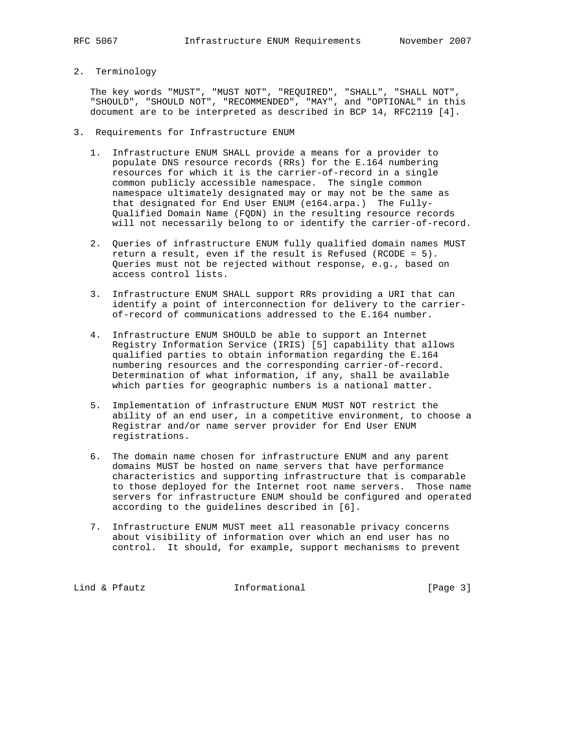- 
- 2. Terminology

 The key words "MUST", "MUST NOT", "REQUIRED", "SHALL", "SHALL NOT", "SHOULD", "SHOULD NOT", "RECOMMENDED", "MAY", and "OPTIONAL" in this document are to be interpreted as described in BCP 14, RFC2119 [4].

- 3. Requirements for Infrastructure ENUM
	- 1. Infrastructure ENUM SHALL provide a means for a provider to populate DNS resource records (RRs) for the E.164 numbering resources for which it is the carrier-of-record in a single common publicly accessible namespace. The single common namespace ultimately designated may or may not be the same as that designated for End User ENUM (e164.arpa.) The Fully- Qualified Domain Name (FQDN) in the resulting resource records will not necessarily belong to or identify the carrier-of-record.
	- 2. Queries of infrastructure ENUM fully qualified domain names MUST return a result, even if the result is Refused (RCODE = 5). Queries must not be rejected without response, e.g., based on access control lists.
	- 3. Infrastructure ENUM SHALL support RRs providing a URI that can identify a point of interconnection for delivery to the carrier of-record of communications addressed to the E.164 number.
	- 4. Infrastructure ENUM SHOULD be able to support an Internet Registry Information Service (IRIS) [5] capability that allows qualified parties to obtain information regarding the E.164 numbering resources and the corresponding carrier-of-record. Determination of what information, if any, shall be available which parties for geographic numbers is a national matter.
	- 5. Implementation of infrastructure ENUM MUST NOT restrict the ability of an end user, in a competitive environment, to choose a Registrar and/or name server provider for End User ENUM registrations.
	- 6. The domain name chosen for infrastructure ENUM and any parent domains MUST be hosted on name servers that have performance characteristics and supporting infrastructure that is comparable to those deployed for the Internet root name servers. Those name servers for infrastructure ENUM should be configured and operated according to the guidelines described in [6].
	- 7. Infrastructure ENUM MUST meet all reasonable privacy concerns about visibility of information over which an end user has no control. It should, for example, support mechanisms to prevent

Lind & Pfautz **Informational** [Page 3]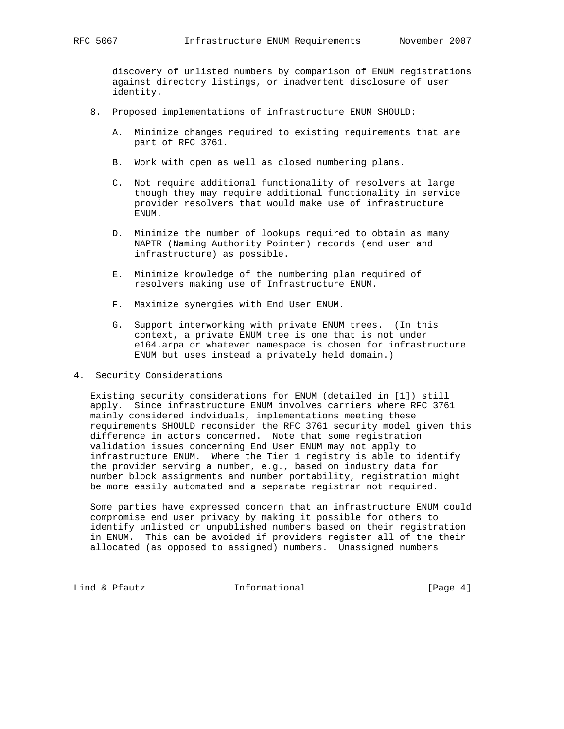discovery of unlisted numbers by comparison of ENUM registrations against directory listings, or inadvertent disclosure of user identity.

- 8. Proposed implementations of infrastructure ENUM SHOULD:
	- A. Minimize changes required to existing requirements that are part of RFC 3761.
	- B. Work with open as well as closed numbering plans.
	- C. Not require additional functionality of resolvers at large though they may require additional functionality in service provider resolvers that would make use of infrastructure ENUM.
	- D. Minimize the number of lookups required to obtain as many NAPTR (Naming Authority Pointer) records (end user and infrastructure) as possible.
	- E. Minimize knowledge of the numbering plan required of resolvers making use of Infrastructure ENUM.
	- F. Maximize synergies with End User ENUM.
	- G. Support interworking with private ENUM trees. (In this context, a private ENUM tree is one that is not under e164.arpa or whatever namespace is chosen for infrastructure ENUM but uses instead a privately held domain.)
- 4. Security Considerations

 Existing security considerations for ENUM (detailed in [1]) still apply. Since infrastructure ENUM involves carriers where RFC 3761 mainly considered indviduals, implementations meeting these requirements SHOULD reconsider the RFC 3761 security model given this difference in actors concerned. Note that some registration validation issues concerning End User ENUM may not apply to infrastructure ENUM. Where the Tier 1 registry is able to identify the provider serving a number, e.g., based on industry data for number block assignments and number portability, registration might be more easily automated and a separate registrar not required.

 Some parties have expressed concern that an infrastructure ENUM could compromise end user privacy by making it possible for others to identify unlisted or unpublished numbers based on their registration in ENUM. This can be avoided if providers register all of the their allocated (as opposed to assigned) numbers. Unassigned numbers

Lind & Pfautz **Informational** [Page 4]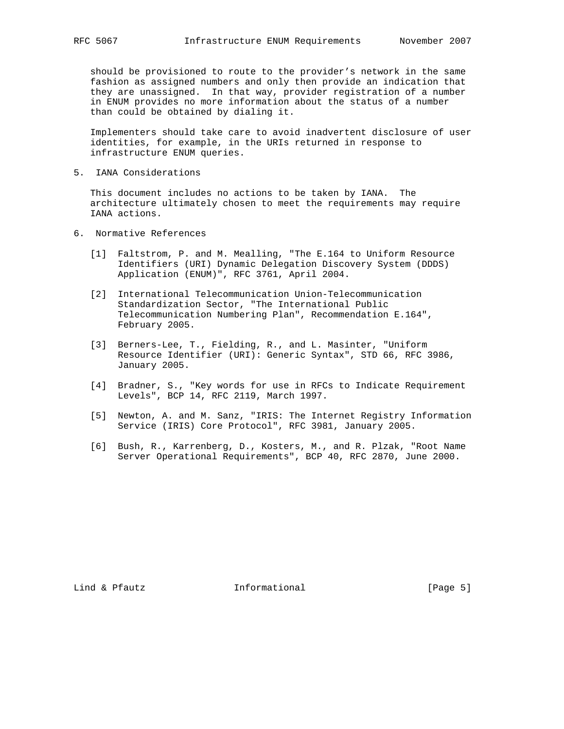should be provisioned to route to the provider's network in the same fashion as assigned numbers and only then provide an indication that they are unassigned. In that way, provider registration of a number in ENUM provides no more information about the status of a number than could be obtained by dialing it.

 Implementers should take care to avoid inadvertent disclosure of user identities, for example, in the URIs returned in response to infrastructure ENUM queries.

5. IANA Considerations

 This document includes no actions to be taken by IANA. The architecture ultimately chosen to meet the requirements may require IANA actions.

- 6. Normative References
	- [1] Faltstrom, P. and M. Mealling, "The E.164 to Uniform Resource Identifiers (URI) Dynamic Delegation Discovery System (DDDS) Application (ENUM)", RFC 3761, April 2004.
	- [2] International Telecommunication Union-Telecommunication Standardization Sector, "The International Public Telecommunication Numbering Plan", Recommendation E.164", February 2005.
	- [3] Berners-Lee, T., Fielding, R., and L. Masinter, "Uniform Resource Identifier (URI): Generic Syntax", STD 66, RFC 3986, January 2005.
	- [4] Bradner, S., "Key words for use in RFCs to Indicate Requirement Levels", BCP 14, RFC 2119, March 1997.
	- [5] Newton, A. and M. Sanz, "IRIS: The Internet Registry Information Service (IRIS) Core Protocol", RFC 3981, January 2005.
	- [6] Bush, R., Karrenberg, D., Kosters, M., and R. Plzak, "Root Name Server Operational Requirements", BCP 40, RFC 2870, June 2000.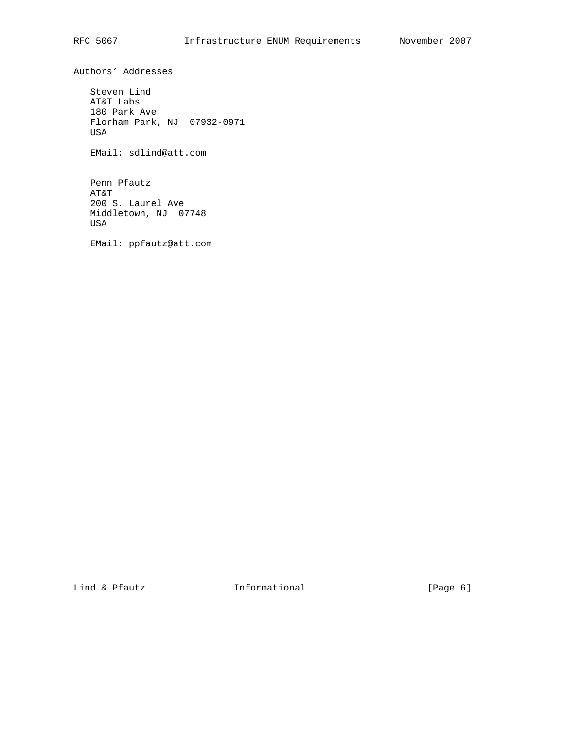Authors' Addresses

 Steven Lind AT&T Labs 180 Park Ave Florham Park, NJ 07932-0971 USA

EMail: sdlind@att.com

 Penn Pfautz AT&T 200 S. Laurel Ave Middletown, NJ 07748 USA

EMail: ppfautz@att.com